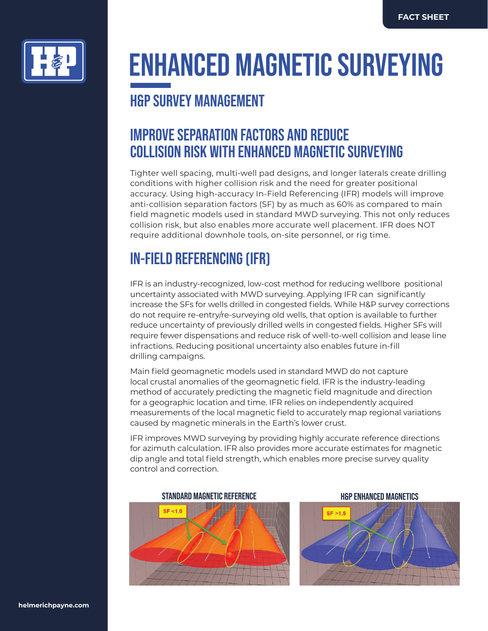

# **ENHANCED MAGNETIC SURVEYING**

### **H&P SURVEY MANAGEMENT**

### **IMPROVE SEPARATION FACTORS AND REDUCE COLLISION RISK WITH ENHANCED MAGNETIC SURVEYING**

Tighter well spacing, multi-well pad designs, and longer laterals create drilling conditions with higher collision risk and the need for greater positional accuracy. Using high-accuracy In-Field Referencing (IFR) models will improve anti-collision separation factors (SF) by as much as 60% as compared to main field magnetic models used in standard MWD surveying. This not only reduces collision risk, but also enables more accurate well placement. IFR does NOT require additional downhole tools, on-site personnel, or rig time.

## **IN-FIELD REFERENCING (IFR)**

IFR is an industry-recognized, low-cost method for reducing wellbore positional uncertainty associated with MWD surveying. Applying IFR can significantly increase the SFs for wells drilled in congested fields. While H&P survey corrections do not require re-entry/re-surveying old wells, that option is available to further reduce uncertainty of previously drilled wells in congested fields. Higher SFs will require fewer dispensations and reduce risk of well-to-well collision and lease line infractions. Reducing positional uncertainty also enables future in-fill drilling campaigns.

Main field geomagnetic models used in standard MWD do not capture local crustal anomalies of the geomagnetic field. IFR is the industry-leading method of accurately predicting the magnetic field magnitude and direction for a geographic location and time. IFR relies on independently acquired measurements of the local magnetic field to accurately map regional variations caused by magnetic minerals in the Earth's lower crust.

IFR improves MWD surveying by providing highly accurate reference directions for azimuth calculation. IFR also provides more accurate estimates for magnetic dip angle and total field strength, which enables more precise survey quality control and correction.

### **STANDARD MAGNETIC REFERENCE H&P ENHANCED MAGNETICS**